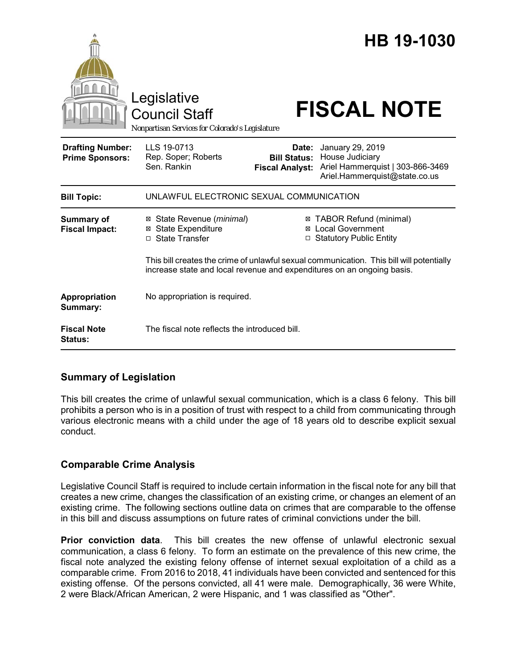|                                                   | Legislative<br><b>Council Staff</b><br>Nonpartisan Services for Colorado's Legislature                                                                             |                                                        | HB 19-1030<br><b>FISCAL NOTE</b>                                                                         |
|---------------------------------------------------|--------------------------------------------------------------------------------------------------------------------------------------------------------------------|--------------------------------------------------------|----------------------------------------------------------------------------------------------------------|
| <b>Drafting Number:</b><br><b>Prime Sponsors:</b> | LLS 19-0713<br>Rep. Soper; Roberts<br>Sen. Rankin                                                                                                                  | Date:<br><b>Bill Status:</b><br><b>Fiscal Analyst:</b> | January 29, 2019<br>House Judiciary<br>Ariel Hammerquist   303-866-3469<br>Ariel.Hammerquist@state.co.us |
| <b>Bill Topic:</b>                                | UNLAWFUL ELECTRONIC SEXUAL COMMUNICATION                                                                                                                           |                                                        |                                                                                                          |
| <b>Summary of</b><br><b>Fiscal Impact:</b>        | State Revenue (minimal)<br>⊠<br><b>State Expenditure</b><br>⊠<br>□ State Transfer                                                                                  |                                                        | ⊠ TABOR Refund (minimal)<br>⊠ Local Government<br>□ Statutory Public Entity                              |
|                                                   | This bill creates the crime of unlawful sexual communication. This bill will potentially<br>increase state and local revenue and expenditures on an ongoing basis. |                                                        |                                                                                                          |
| Appropriation<br>Summary:                         | No appropriation is required.                                                                                                                                      |                                                        |                                                                                                          |
| <b>Fiscal Note</b><br>Status:                     | The fiscal note reflects the introduced bill.                                                                                                                      |                                                        |                                                                                                          |

## **Summary of Legislation**

This bill creates the crime of unlawful sexual communication, which is a class 6 felony. This bill prohibits a person who is in a position of trust with respect to a child from communicating through various electronic means with a child under the age of 18 years old to describe explicit sexual conduct.

# **Comparable Crime Analysis**

Legislative Council Staff is required to include certain information in the fiscal note for any bill that creates a new crime, changes the classification of an existing crime, or changes an element of an existing crime. The following sections outline data on crimes that are comparable to the offense in this bill and discuss assumptions on future rates of criminal convictions under the bill.

**Prior conviction data**. This bill creates the new offense of unlawful electronic sexual communication, a class 6 felony. To form an estimate on the prevalence of this new crime, the fiscal note analyzed the existing felony offense of internet sexual exploitation of a child as a comparable crime. From 2016 to 2018, 41 individuals have been convicted and sentenced for this existing offense. Of the persons convicted, all 41 were male. Demographically, 36 were White, 2 were Black/African American, 2 were Hispanic, and 1 was classified as "Other".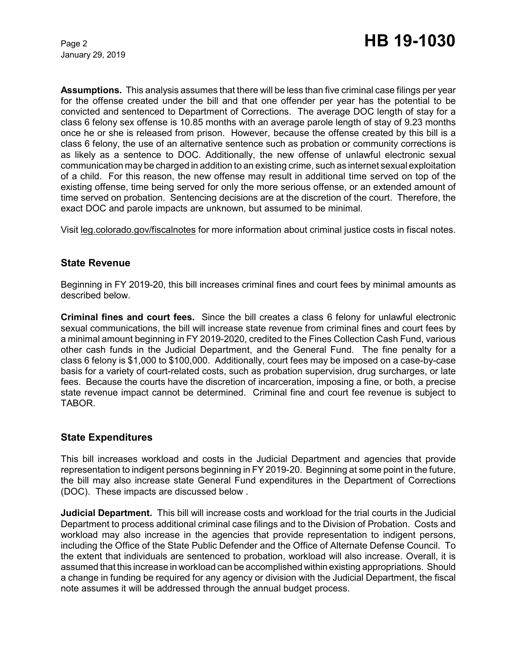January 29, 2019

**Assumptions.** This analysis assumes that there will be less than five criminal case filings per year for the offense created under the bill and that one offender per year has the potential to be convicted and sentenced to Department of Corrections. The average DOC length of stay for a class 6 felony sex offense is 10.85 months with an average parole length of stay of 9.23 months once he or she is released from prison. However, because the offense created by this bill is a class 6 felony, the use of an alternative sentence such as probation or community corrections is as likely as a sentence to DOC. Additionally, the new offense of unlawful electronic sexual communication may be charged in addition to an existing crime, such as internet sexual exploitation of a child. For this reason, the new offense may result in additional time served on top of the existing offense, time being served for only the more serious offense, or an extended amount of time served on probation. Sentencing decisions are at the discretion of the court. Therefore, the exact DOC and parole impacts are unknown, but assumed to be minimal.

Visit leg.colorado.gov/fiscalnotes for more information about criminal justice costs in fiscal notes.

## **State Revenue**

Beginning in FY 2019-20, this bill increases criminal fines and court fees by minimal amounts as described below.

**Criminal fines and court fees.** Since the bill creates a class 6 felony for unlawful electronic sexual communications, the bill will increase state revenue from criminal fines and court fees by a minimal amount beginning in FY 2019-2020, credited to the Fines Collection Cash Fund, various other cash funds in the Judicial Department, and the General Fund. The fine penalty for a class 6 felony is \$1,000 to \$100,000. Additionally, court fees may be imposed on a case-by-case basis for a variety of court-related costs, such as probation supervision, drug surcharges, or late fees. Because the courts have the discretion of incarceration, imposing a fine, or both, a precise state revenue impact cannot be determined. Criminal fine and court fee revenue is subject to TABOR.

#### **State Expenditures**

This bill increases workload and costs in the Judicial Department and agencies that provide representation to indigent persons beginning in FY 2019-20. Beginning at some point in the future, the bill may also increase state General Fund expenditures in the Department of Corrections (DOC). These impacts are discussed below .

**Judicial Department.** This bill will increase costs and workload for the trial courts in the Judicial Department to process additional criminal case filings and to the Division of Probation. Costs and workload may also increase in the agencies that provide representation to indigent persons, including the Office of the State Public Defender and the Office of Alternate Defense Council. To the extent that individuals are sentenced to probation, workload will also increase. Overall, it is assumed that this increase in workload can be accomplished within existing appropriations. Should a change in funding be required for any agency or division with the Judicial Department, the fiscal note assumes it will be addressed through the annual budget process.